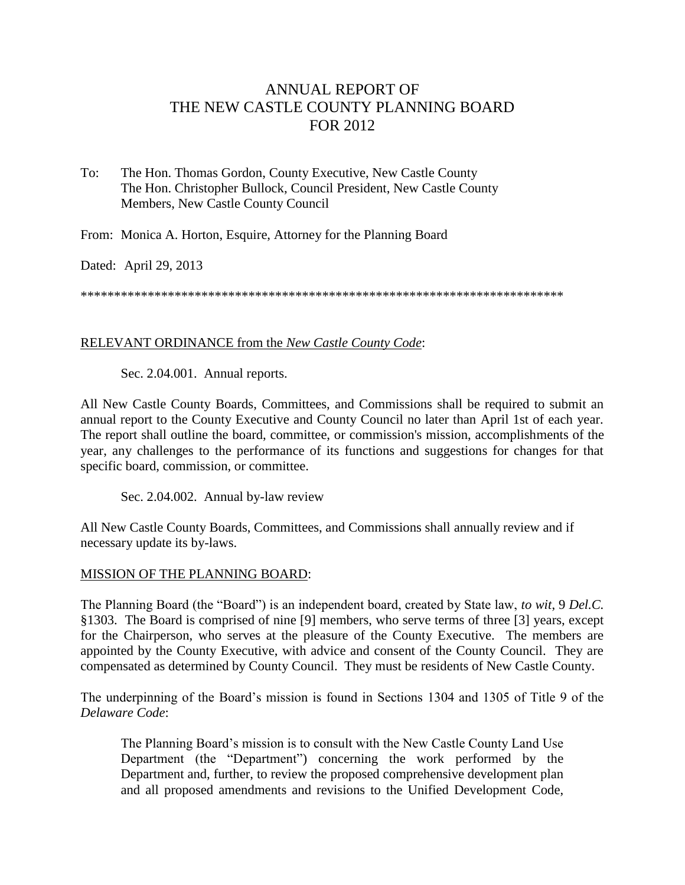# ANNUAL REPORT OF THE NEW CASTLE COUNTY PLANNING BOARD FOR 2012

To: The Hon. Thomas Gordon, County Executive, New Castle County The Hon. Christopher Bullock, Council President, New Castle County Members, New Castle County Council

From: Monica A. Horton, Esquire, Attorney for the Planning Board

Dated: April 29, 2013

\*\*\*\*\*\*\*\*\*\*\*\*\*\*\*\*\*\*\*\*\*\*\*\*\*\*\*\*\*\*\*\*\*\*\*\*\*\*\*\*\*\*\*\*\*\*\*\*\*\*\*\*\*\*\*\*\*\*\*\*\*\*\*\*\*\*\*\*\*\*\*\*

### RELEVANT ORDINANCE from the *New Castle County Code*:

Sec. 2.04.001. Annual reports.

All New Castle County Boards, Committees, and Commissions shall be required to submit an annual report to the County Executive and County Council no later than April 1st of each year. The report shall outline the board, committee, or commission's mission, accomplishments of the year, any challenges to the performance of its functions and suggestions for changes for that specific board, commission, or committee.

Sec. 2.04.002. Annual by-law review

All New Castle County Boards, Committees, and Commissions shall annually review and if necessary update its by-laws.

#### MISSION OF THE PLANNING BOARD:

The Planning Board (the "Board") is an independent board, created by State law, *to wit*, 9 *Del.C.* §1303. The Board is comprised of nine [9] members, who serve terms of three [3] years, except for the Chairperson, who serves at the pleasure of the County Executive. The members are appointed by the County Executive, with advice and consent of the County Council. They are compensated as determined by County Council. They must be residents of New Castle County.

The underpinning of the Board's mission is found in Sections 1304 and 1305 of Title 9 of the *Delaware Code*:

The Planning Board's mission is to consult with the New Castle County Land Use Department (the "Department") concerning the work performed by the Department and, further, to review the proposed comprehensive development plan and all proposed amendments and revisions to the Unified Development Code,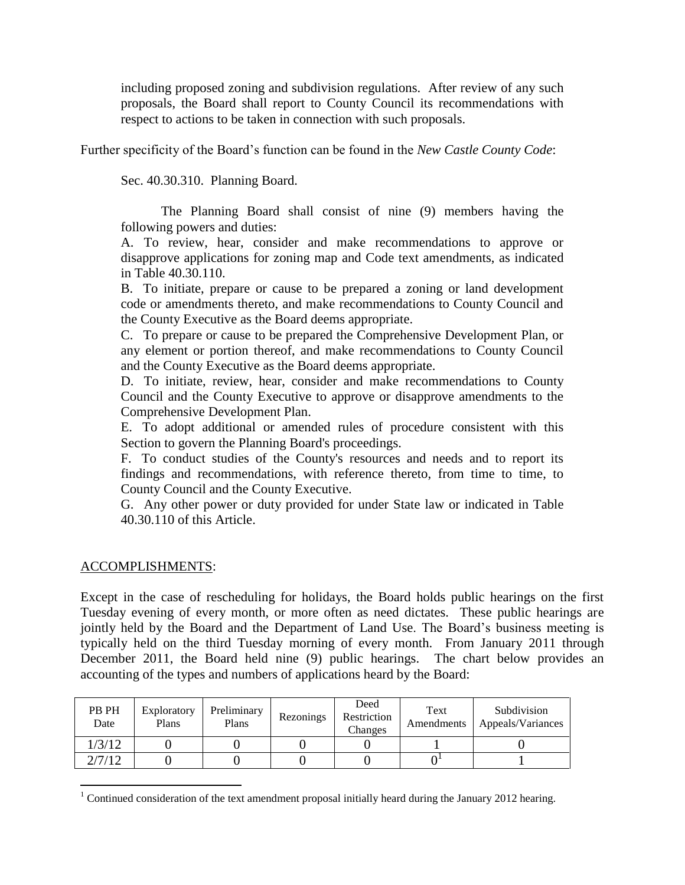including proposed zoning and subdivision regulations. After review of any such proposals, the Board shall report to County Council its recommendations with respect to actions to be taken in connection with such proposals.

Further specificity of the Board's function can be found in the *New Castle County Code*:

Sec. 40.30.310. Planning Board.

The Planning Board shall consist of nine (9) members having the following powers and duties:

A. To review, hear, consider and make recommendations to approve or disapprove applications for zoning map and Code text amendments, as indicated in Table 40.30.110.

B. To initiate, prepare or cause to be prepared a zoning or land development code or amendments thereto, and make recommendations to County Council and the County Executive as the Board deems appropriate.

C. To prepare or cause to be prepared the Comprehensive Development Plan, or any element or portion thereof, and make recommendations to County Council and the County Executive as the Board deems appropriate.

D. To initiate, review, hear, consider and make recommendations to County Council and the County Executive to approve or disapprove amendments to the Comprehensive Development Plan.

E. To adopt additional or amended rules of procedure consistent with this Section to govern the Planning Board's proceedings.

F. To conduct studies of the County's resources and needs and to report its findings and recommendations, with reference thereto, from time to time, to County Council and the County Executive.

G. Any other power or duty provided for under State law or indicated in Table 40.30.110 of this Article.

## ACCOMPLISHMENTS:

 $\overline{a}$ 

Except in the case of rescheduling for holidays, the Board holds public hearings on the first Tuesday evening of every month, or more often as need dictates. These public hearings are jointly held by the Board and the Department of Land Use. The Board's business meeting is typically held on the third Tuesday morning of every month. From January 2011 through December 2011, the Board held nine (9) public hearings. The chart below provides an accounting of the types and numbers of applications heard by the Board:

| PB PH<br>Date | Exploratory<br>Plans | Preliminary<br>Plans | Rezonings | Deed<br>Restriction<br>Changes | Text<br>Amendments | Subdivision<br>Appeals/Variances |
|---------------|----------------------|----------------------|-----------|--------------------------------|--------------------|----------------------------------|
| /3/12         |                      |                      |           |                                |                    |                                  |
| 2/7/12        |                      |                      |           |                                |                    |                                  |

<sup>&</sup>lt;sup>1</sup> Continued consideration of the text amendment proposal initially heard during the January 2012 hearing.